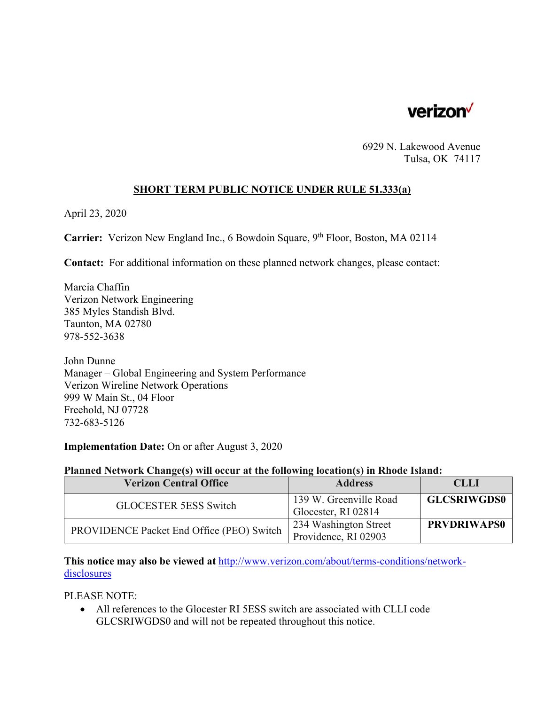

6929 N. Lakewood Avenue Tulsa, OK 74117

# **SHORT TERM PUBLIC NOTICE UNDER RULE 51.333(a)**

April 23, 2020

**Carrier:** Verizon New England Inc., 6 Bowdoin Square, 9<sup>th</sup> Floor, Boston, MA 02114

**Contact:** For additional information on these planned network changes, please contact:

Marcia Chaffin Verizon Network Engineering 385 Myles Standish Blvd. Taunton, MA 02780 978-552-3638

John Dunne Manager – Global Engineering and System Performance Verizon Wireline Network Operations 999 W Main St., 04 Floor Freehold, NJ 07728 732-683-5126

### **Implementation Date:** On or after August 3, 2020

#### **Planned Network Change(s) will occur at the following location(s) in Rhode Island:**

| <b>Verizon Central Office</b>             | <b>Address</b>         | <b>CLLI</b>        |
|-------------------------------------------|------------------------|--------------------|
| <b>GLOCESTER 5ESS Switch</b>              | 139 W. Greenville Road | <b>GLCSRIWGDS0</b> |
|                                           | Glocester, RI 02814    |                    |
| PROVIDENCE Packet End Office (PEO) Switch | 234 Washington Street  | <b>PRVDRIWAPS0</b> |
|                                           | Providence, RI 02903   |                    |

**This notice may also be viewed at** http://www.verizon.com/about/terms-conditions/networkdisclosures

PLEASE NOTE:

 All references to the Glocester RI 5ESS switch are associated with CLLI code GLCSRIWGDS0 and will not be repeated throughout this notice.